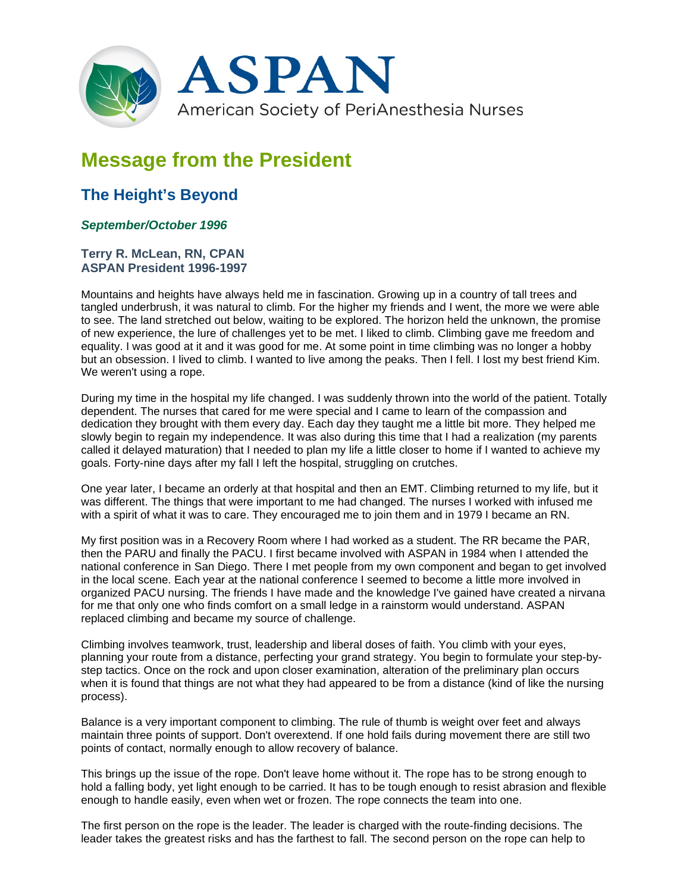

## **Message from the President**

## **The Height's Beyond**

## *September/October 1996*

**Terry R. McLean, RN, CPAN ASPAN President 1996-1997**

Mountains and heights have always held me in fascination. Growing up in a country of tall trees and tangled underbrush, it was natural to climb. For the higher my friends and I went, the more we were able to see. The land stretched out below, waiting to be explored. The horizon held the unknown, the promise of new experience, the lure of challenges yet to be met. I liked to climb. Climbing gave me freedom and equality. I was good at it and it was good for me. At some point in time climbing was no longer a hobby but an obsession. I lived to climb. I wanted to live among the peaks. Then I fell. I lost my best friend Kim. We weren't using a rope.

During my time in the hospital my life changed. I was suddenly thrown into the world of the patient. Totally dependent. The nurses that cared for me were special and I came to learn of the compassion and dedication they brought with them every day. Each day they taught me a little bit more. They helped me slowly begin to regain my independence. It was also during this time that I had a realization (my parents called it delayed maturation) that I needed to plan my life a little closer to home if I wanted to achieve my goals. Forty-nine days after my fall I left the hospital, struggling on crutches.

One year later, I became an orderly at that hospital and then an EMT. Climbing returned to my life, but it was different. The things that were important to me had changed. The nurses I worked with infused me with a spirit of what it was to care. They encouraged me to join them and in 1979 I became an RN.

My first position was in a Recovery Room where I had worked as a student. The RR became the PAR, then the PARU and finally the PACU. I first became involved with ASPAN in 1984 when I attended the national conference in San Diego. There I met people from my own component and began to get involved in the local scene. Each year at the national conference I seemed to become a little more involved in organized PACU nursing. The friends I have made and the knowledge I've gained have created a nirvana for me that only one who finds comfort on a small ledge in a rainstorm would understand. ASPAN replaced climbing and became my source of challenge.

Climbing involves teamwork, trust, leadership and liberal doses of faith. You climb with your eyes, planning your route from a distance, perfecting your grand strategy. You begin to formulate your step-bystep tactics. Once on the rock and upon closer examination, alteration of the preliminary plan occurs when it is found that things are not what they had appeared to be from a distance (kind of like the nursing process).

Balance is a very important component to climbing. The rule of thumb is weight over feet and always maintain three points of support. Don't overextend. If one hold fails during movement there are still two points of contact, normally enough to allow recovery of balance.

This brings up the issue of the rope. Don't leave home without it. The rope has to be strong enough to hold a falling body, yet light enough to be carried. It has to be tough enough to resist abrasion and flexible enough to handle easily, even when wet or frozen. The rope connects the team into one.

The first person on the rope is the leader. The leader is charged with the route-finding decisions. The leader takes the greatest risks and has the farthest to fall. The second person on the rope can help to